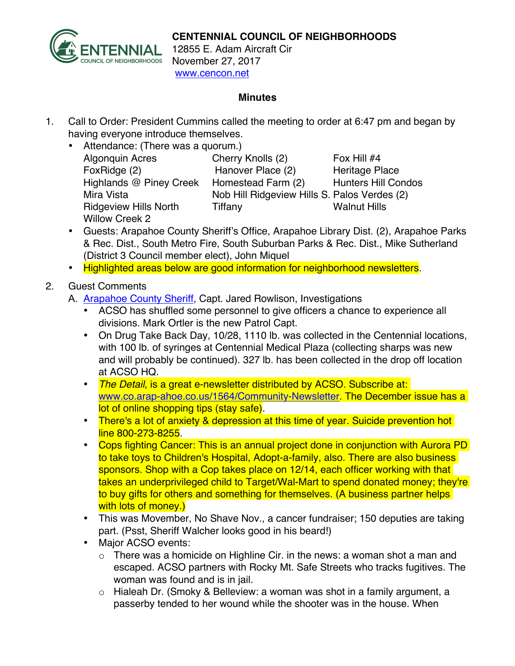

12855 E. Adam Aircraft Cir November 27, 2017 www.cencon.net

## **Minutes**

- 1. Call to Order: President Cummins called the meeting to order at 6:47 pm and began by having everyone introduce themselves.
	- Attendance: (There was a quorum.) Algonquin Acres Cherry Knolls (2) Fox Hill #4 FoxRidge (2) **Hanover Place (2)** Heritage Place Highlands @ Piney Creek Homestead Farm (2) Hunters Hill Condos Mira Vista **Nob Hill Ridgeview Hills S. Palos Verdes** (2) Ridgeview Hills North Tiffany Times Walnut Hills Willow Creek 2

- Guests: Arapahoe County Sheriff's Office, Arapahoe Library Dist. (2), Arapahoe Parks & Rec. Dist., South Metro Fire, South Suburban Parks & Rec. Dist., Mike Sutherland (District 3 Council member elect), John Miquel
- Highlighted areas below are good information for neighborhood newsletters.
- 2. Guest Comments
	- A. [Arapahoe County Sheriff](http://www.arapahoesheriff.org), Capt. Jared Rowlison, Investigations
		- ACSO has shuffled some personnel to give officers a chance to experience all divisions. Mark Ortler is the new Patrol Capt.
		- On Drug Take Back Day, 10/28, 1110 lb. was collected in the Centennial locations, with 100 lb. of syringes at Centennial Medical Plaza (collecting sharps was new and will probably be continued). 327 lb. has been collected in the drop off location at ACSO HQ.
		- *The Detail*, is a great e-newsletter distributed by ACSO. Subscribe at: [www.co.arap-ahoe.co.us/1564/Community-Newsletter.](http://www.co.arapahoe.co.us/1564/Community-Newsletter) The December issue has a lot of online shopping tips (stay safe).
		- There's a lot of anxiety & depression at this time of year. Suicide prevention hot line 800-273-8255.
		- Cops fighting Cancer: This is an annual project done in conjunction with Aurora PD to take toys to Children's Hospital, Adopt-a-family, also. There are also business sponsors. Shop with a Cop takes place on 12/14, each officer working with that takes an underprivileged child to Target/Wal-Mart to spend donated money; they're to buy gifts for others and something for themselves. (A business partner helps with lots of money.)
		- This was Movember, No Shave Nov., a cancer fundraiser; 150 deputies are taking part. (Psst, Sheriff Walcher looks good in his beard!)
		- Major ACSO events:
			- o There was a homicide on Highline Cir. in the news: a woman shot a man and escaped. ACSO partners with Rocky Mt. Safe Streets who tracks fugitives. The woman was found and is in jail.
			- o Hialeah Dr. (Smoky & Belleview: a woman was shot in a family argument, a passerby tended to her wound while the shooter was in the house. When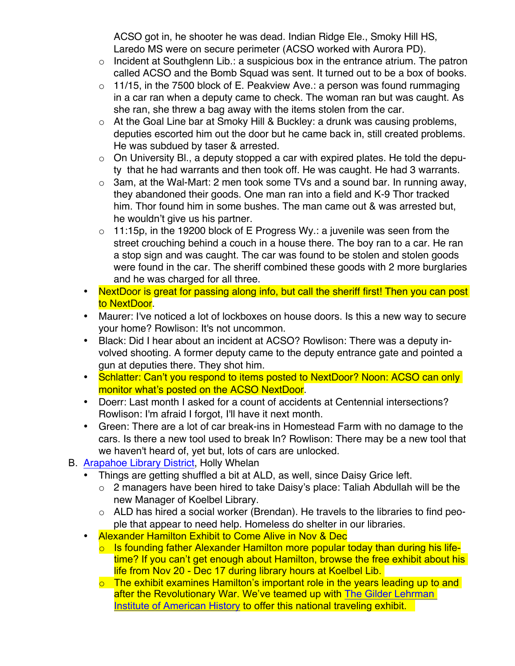ACSO got in, he shooter he was dead. Indian Ridge Ele., Smoky Hill HS, Laredo MS were on secure perimeter (ACSO worked with Aurora PD).

- $\circ$  Incident at Southglenn Lib.: a suspicious box in the entrance atrium. The patron called ACSO and the Bomb Squad was sent. It turned out to be a box of books.
- $\circ$  11/15, in the 7500 block of E. Peakview Ave.: a person was found rummaging in a car ran when a deputy came to check. The woman ran but was caught. As she ran, she threw a bag away with the items stolen from the car.
- $\circ$  At the Goal Line bar at Smoky Hill & Buckley: a drunk was causing problems, deputies escorted him out the door but he came back in, still created problems. He was subdued by taser & arrested.
- $\circ$  On University Bl., a deputy stopped a car with expired plates. He told the deputy that he had warrants and then took off. He was caught. He had 3 warrants.
- $\circ$  3am, at the Wal-Mart: 2 men took some TVs and a sound bar. In running away, they abandoned their goods. One man ran into a field and K-9 Thor tracked him. Thor found him in some bushes. The man came out & was arrested but, he wouldn't give us his partner.
- $\circ$  11:15p, in the 19200 block of E Progress Wy.: a juvenile was seen from the street crouching behind a couch in a house there. The boy ran to a car. He ran a stop sign and was caught. The car was found to be stolen and stolen goods were found in the car. The sheriff combined these goods with 2 more burglaries and he was charged for all three.
- NextDoor is great for passing along info, but call the sheriff first! Then you can post to NextDoor.
- Maurer: I've noticed a lot of lockboxes on house doors. Is this a new way to secure your home? Rowlison: It's not uncommon.
- Black: Did I hear about an incident at ACSO? Rowlison: There was a deputy involved shooting. A former deputy came to the deputy entrance gate and pointed a gun at deputies there. They shot him.
- Schlatter: Can't you respond to items posted to NextDoor? Noon: ACSO can only monitor what's posted on the ACSO NextDoor.
- Doerr: Last month I asked for a count of accidents at Centennial intersections? Rowlison: I'm afraid I forgot, I'll have it next month.
- Green: There are a lot of car break-ins in Homestead Farm with no damage to the cars. Is there a new tool used to break In? Rowlison: There may be a new tool that we haven't heard of, yet but, lots of cars are unlocked.
- B. [Arapahoe Library District,](http://www.arapahoelibraries.org/) Holly Whelan
	- Things are getting shuffled a bit at ALD, as well, since Daisy Grice left.
		- o 2 managers have been hired to take Daisy's place: Taliah Abdullah will be the new Manager of Koelbel Library.
		- $\circ$  ALD has hired a social worker (Brendan). He travels to the libraries to find people that appear to need help. Homeless do shelter in our libraries.
	- Alexander Hamilton Exhibit to Come Alive in Nov & Dec
		- $\circ$  Is founding father Alexander Hamilton more popular today than during his lifetime? If you can't get enough about Hamilton, browse the free exhibit about his life from Nov 20 - Dec 17 during library hours at Koelbel Lib.
		- o The exhibit examines Hamilton's important role in the years leading up to and after the Revolutionary War. We've teamed up with The Gilder [Lehrman](https://www.gilderlehrman.org/) Institute of [American](https://www.gilderlehrman.org/) History to offer this national traveling exhibit.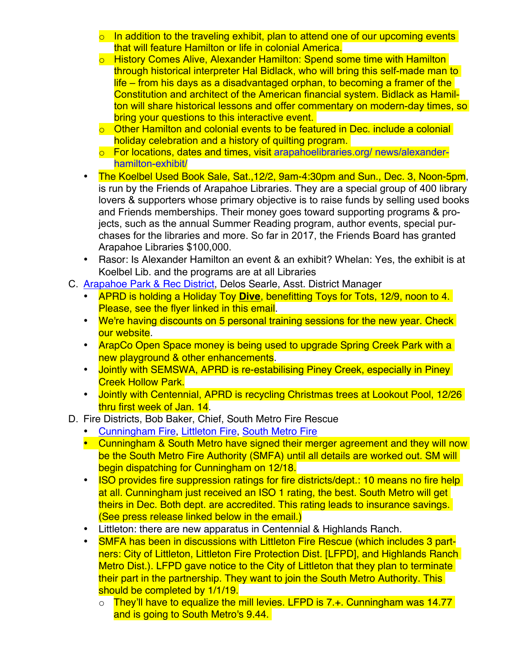- $\circ$  In addition to the traveling exhibit, plan to attend one of our upcoming events that will feature Hamilton or life in colonial America.
- o History Comes Alive, Alexander Hamilton: Spend some time with Hamilton through historical interpreter Hal Bidlack, who will bring this self-made man to life – from his days as a disadvantaged orphan, to becoming a framer of the Constitution and architect of the American financial system. Bidlack as Hamilton will share historical lessons and offer commentary on modern-day times, so bring your questions to this interactive event.
- o Other Hamilton and colonial events to be featured in Dec. include a colonial holiday celebration and a history of quilting program.
- o For locations, dates and times, visit [arapahoelibraries.org/ news/alexander](https://www.arapahoelibraries.org/news/alexander-hamilton-exhibit/)[hamilton-exhibit/](https://www.arapahoelibraries.org/news/alexander-hamilton-exhibit/)
- The Koelbel Used Book Sale, Sat.,12/2, 9am-4:30pm and Sun., Dec. 3, Noon-5pm, is run by the Friends of Arapahoe Libraries. They are a special group of 400 library lovers & supporters whose primary objective is to raise funds by selling used books and Friends memberships. Their money goes toward supporting programs & projects, such as the annual Summer Reading program, author events, special purchases for the libraries and more. So far in 2017, the Friends Board has granted Arapahoe Libraries \$100,000.
- Rasor: Is Alexander Hamilton an event & an exhibit? Whelan: Yes, the exhibit is at Koelbel Lib. and the programs are at all Libraries
- C. [Arapahoe Park & Rec District](http://www.aprd.org), Delos Searle, Asst. District Manager
	- APRD is holding a Holiday Toy **Dive**, benefitting Toys for Tots, 12/9, noon to 4. Please, see the flyer linked in this email.
	- We're having discounts on 5 personal training sessions for the new year. Check our website.
	- ArapCo Open Space money is being used to upgrade Spring Creek Park with a new playground & other enhancements.
	- Jointly with SEMSWA, APRD is re-estabilising Piney Creek, especially in Piney Creek Hollow Park.
	- Jointly with Centennial, APRD is recycling Christmas trees at Lookout Pool, 12/26 thru first week of Jan. 14.
- D. Fire Districts, Bob Baker, Chief, South Metro Fire Rescue
	- [Cunningham Fire,](http://www.cfpd.org) [Littleton Fire,](http://www.littletongov.org/fire) [South Metro Fire](http://www.southmetro.org)
	- Cunningham & South Metro have signed their merger agreement and they will now be the South Metro Fire Authority (SMFA) until all details are worked out. SM will begin dispatching for Cunningham on 12/18.
	- ISO provides fire suppression ratings for fire districts/dept.: 10 means no fire help at all. Cunningham just received an ISO 1 rating, the best. South Metro will get theirs in Dec. Both dept. are accredited. This rating leads to insurance savings. (See press release linked below in the email.)
	- Littleton: there are new apparatus in Centennial & Highlands Ranch.
	- SMFA has been in discussions with Littleton Fire Rescue (which includes 3 partners: City of Littleton, Littleton Fire Protection Dist. [LFPD], and Highlands Ranch Metro Dist.). LFPD gave notice to the City of Littleton that they plan to terminate their part in the partnership. They want to join the South Metro Authority. This should be completed by  $1/1/19$ .
		- $\circ$  They'll have to equalize the mill levies. LFPD is 7.+. Cunningham was 14.77 and is going to South Metro's 9.44.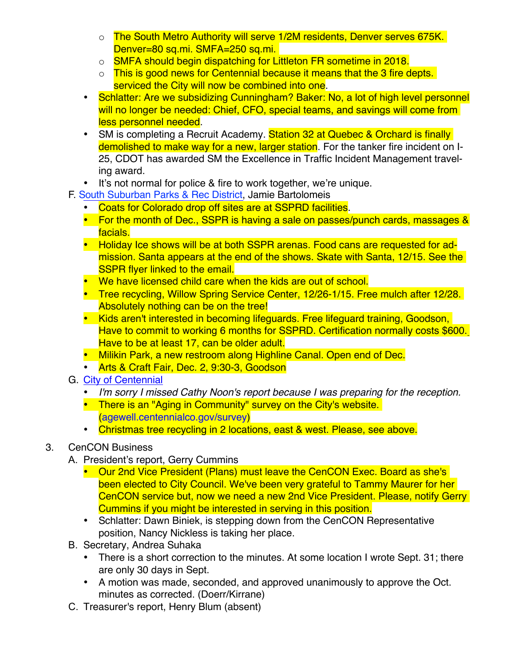- o The South Metro Authority will serve 1/2M residents, Denver serves 675K. Denver=80 sq.mi. SMFA=250 sq.mi.
- o SMFA should begin dispatching for Littleton FR sometime in 2018.
- o This is good news for Centennial because it means that the 3 fire depts. serviced the City will now be combined into one.
- Schlatter: Are we subsidizing Cunningham? Baker: No, a lot of high level personnel will no longer be needed: Chief, CFO, special teams, and savings will come from less personnel needed.
- SM is completing a Recruit Academy. Station 32 at Quebec & Orchard is finally demolished to make way for a new, larger station. For the tanker fire incident on I-25, CDOT has awarded SM the Excellence in Traffic Incident Management traveling award.
- It's not normal for police & fire to work together, we're unique.
- F. South [Suburban](http://www.SSPR.org) Parks & Rec District, Jamie Bartolomeis
	- Coats for Colorado drop off sites are at SSPRD facilities.
	- For the month of Dec., SSPR is having a sale on passes/punch cards, massages & facials.
	- Holiday Ice shows will be at both SSPR arenas. Food cans are requested for admission. Santa appears at the end of the shows. Skate with Santa, 12/15. See the SSPR flyer linked to the email.
	- We have licensed child care when the kids are out of school.
	- Tree recycling, Willow Spring Service Center, 12/26-1/15. Free mulch after 12/28. Absolutely nothing can be on the tree!
	- Kids aren't interested in becoming lifeguards. Free lifeguard training, Goodson, Have to commit to working 6 months for SSPRD. Certification normally costs \$600. Have to be at least 17, can be older adult.
	- Milikin Park, a new restroom along Highline Canal. Open end of Dec.
	- Arts & Craft Fair, Dec. 2, 9:30-3, Goodson
- G. [City of Centennial](http://www.centennialco.gov)
	- *I'm sorry I missed Cathy Noon's report because I was preparing for the reception.*
	- There is an "Aging in Community" survey on the City's website. ([agewell.centennialco.gov/survey\)](http://agewell.centennialco.gov/survey)
	- Christmas tree recycling in 2 locations, east & west. Please, see above.

## 3. CenCON Business

- A. President's report, Gerry Cummins
	- Our 2nd Vice President (Plans) must leave the CenCON Exec. Board as she's been elected to City Council. We've been very grateful to Tammy Maurer for her CenCON service but, now we need a new 2nd Vice President. Please, notify Gerry Cummins if you might be interested in serving in this position.
	- Schlatter: Dawn Biniek, is stepping down from the CenCON Representative position, Nancy Nickless is taking her place.
- B. Secretary, Andrea Suhaka
	- There is a short correction to the minutes. At some location I wrote Sept. 31; there are only 30 days in Sept.
	- A motion was made, seconded, and approved unanimously to approve the Oct. minutes as corrected. (Doerr/Kirrane)
- C. Treasurer's report, Henry Blum (absent)